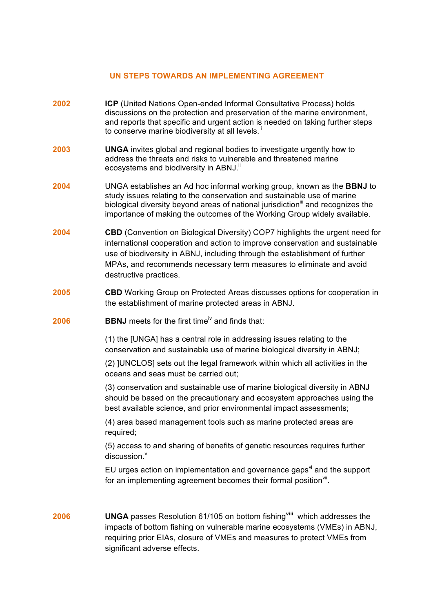## **UN STEPS TOWARDS AN IMPLEMENTING AGREEMENT**

- **2002 ICP** (United Nations Open-ended Informal Consultative Process) holds discussions on the protection and preservation of the marine environment, and reports that specific and urgent action is needed on taking further steps to conserve marine biodiversity at all levels. $<sup>i</sup>$ </sup>
- **2003 UNGA** invites global and regional bodies to investigate urgently how to address the threats and risks to vulnerable and threatened marine ecosystems and biodiversity in ABNJ.<sup>ii</sup>
- **2004** UNGA establishes an Ad hoc informal working group, known as the **BBNJ** to study issues relating to the conservation and sustainable use of marine biological diversity beyond areas of national jurisdiction<sup>iii</sup> and recognizes the importance of making the outcomes of the Working Group widely available.
- **2004 CBD** (Convention on Biological Diversity) COP7 highlights the urgent need for international cooperation and action to improve conservation and sustainable use of biodiversity in ABNJ, including through the establishment of further MPAs, and recommends necessary term measures to eliminate and avoid destructive practices.
- **2005 CBD** Working Group on Protected Areas discusses options for cooperation in the establishment of marine protected areas in ABNJ.
- **2006 BBNJ** meets for the first time<sup>iv</sup> and finds that:

(1) the [UNGA] has a central role in addressing issues relating to the conservation and sustainable use of marine biological diversity in ABNJ;

(2) ]UNCLOS] sets out the legal framework within which all activities in the oceans and seas must be carried out;

(3) conservation and sustainable use of marine biological diversity in ABNJ should be based on the precautionary and ecosystem approaches using the best available science, and prior environmental impact assessments;

(4) area based management tools such as marine protected areas are required;

(5) access to and sharing of benefits of genetic resources requires further  $discussion<sup>v</sup>$ 

EU urges action on implementation and governance gaps $\dot{a}$  and the support for an implementing agreement becomes their formal position<sup>vii</sup>.

**2006 UNGA** passes Resolution 61/105 on bottom fishing**viii** which addresses the impacts of bottom fishing on vulnerable marine ecosystems (VMEs) in ABNJ, requiring prior EIAs, closure of VMEs and measures to protect VMEs from significant adverse effects.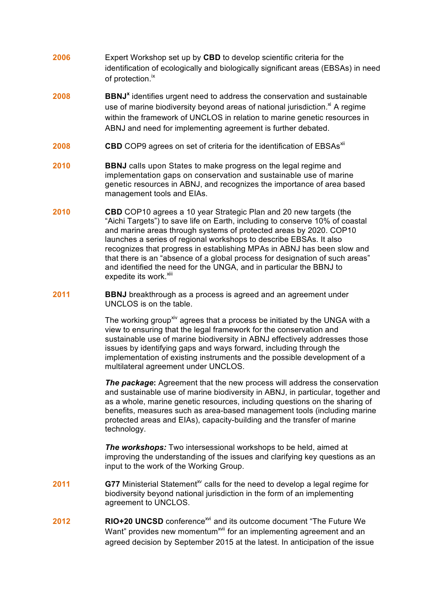- **2006** Expert Workshop set up by **CBD** to develop scientific criteria for the identification of ecologically and biologically significant areas (EBSAs) in need of protection.<sup>ix</sup>
- **2008 BBNJ**<sup>x</sup> identifies urgent need to address the conservation and sustainable use of marine biodiversity beyond areas of national jurisdiction. $x^i$  A regime within the framework of UNCLOS in relation to marine genetic resources in ABNJ and need for implementing agreement is further debated.
- **2008 CBD** COP9 agrees on set of criteria for the identification of EBSAs<sup>xii</sup>
- **2010 BBNJ** calls upon States to make progress on the legal regime and implementation gaps on conservation and sustainable use of marine genetic resources in ABNJ, and recognizes the importance of area based management tools and EIAs.
- **2010 CBD** COP10 agrees a 10 year Strategic Plan and 20 new targets (the "Aichi Targets") to save life on Earth, including to conserve 10% of coastal and marine areas through systems of protected areas by 2020. COP10 launches a series of regional workshops to describe EBSAs. It also recognizes that progress in establishing MPAs in ABNJ has been slow and that there is an "absence of a global process for designation of such areas" and identified the need for the UNGA, and in particular the BBNJ to expedite its work.<sup>xiii</sup>
- **2011 BBNJ** breakthrough as a process is agreed and an agreement under UNCLOS is on the table.

The working group<sup>xiv</sup> agrees that a process be initiated by the UNGA with a view to ensuring that the legal framework for the conservation and sustainable use of marine biodiversity in ABNJ effectively addresses those issues by identifying gaps and ways forward, including through the implementation of existing instruments and the possible development of a multilateral agreement under UNCLOS.

**The package:** Agreement that the new process will address the conservation and sustainable use of marine biodiversity in ABNJ, in particular, together and as a whole, marine genetic resources, including questions on the sharing of benefits, measures such as area-based management tools (including marine protected areas and EIAs), capacity-building and the transfer of marine technology.

*The workshops:* Two intersessional workshops to be held, aimed at improving the understanding of the issues and clarifying key questions as an input to the work of the Working Group.

- **2011 G77** Ministerial Statement<sup>xy</sup> calls for the need to develop a legal regime for biodiversity beyond national jurisdiction in the form of an implementing agreement to UNCLOS.
- **2012** RIO+20 UNCSD conference<sup>xvi</sup> and its outcome document "The Future We Want" provides new momentum<sup>xvii</sup> for an implementing agreement and an agreed decision by September 2015 at the latest. In anticipation of the issue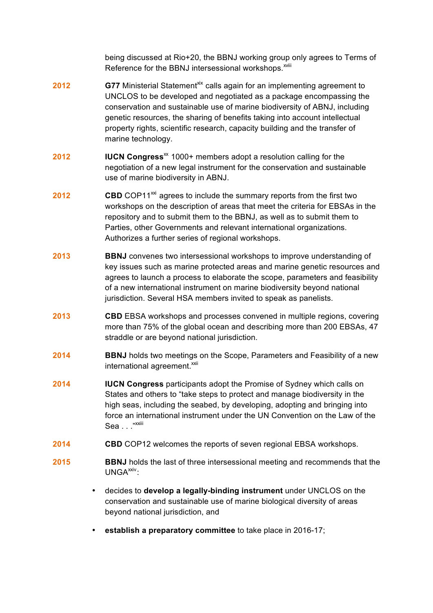being discussed at Rio+20, the BBNJ working group only agrees to Terms of Reference for the BBNJ intersessional workshops.<sup>xviii</sup>

- **2012 G77** Ministerial Statement<sup>xix</sup> calls again for an implementing agreement to UNCLOS to be developed and negotiated as a package encompassing the conservation and sustainable use of marine biodiversity of ABNJ, including genetic resources, the sharing of benefits taking into account intellectual property rights, scientific research, capacity building and the transfer of marine technology.
- **2012 IUCN Congress**<sup> $\text{X}$  1000+ members adopt a resolution calling for the</sup> negotiation of a new legal instrument for the conservation and sustainable use of marine biodiversity in ABNJ.
- **2012 CBD** COP11<sup>xxi</sup> agrees to include the summary reports from the first two workshops on the description of areas that meet the criteria for EBSAs in the repository and to submit them to the BBNJ, as well as to submit them to Parties, other Governments and relevant international organizations. Authorizes a further series of regional workshops.
- **2013 BBNJ** convenes two intersessional workshops to improve understanding of key issues such as marine protected areas and marine genetic resources and agrees to launch a process to elaborate the scope, parameters and feasibility of a new international instrument on marine biodiversity beyond national jurisdiction. Several HSA members invited to speak as panelists.
- **2013 CBD** EBSA workshops and processes convened in multiple regions, covering more than 75% of the global ocean and describing more than 200 EBSAs, 47 straddle or are beyond national jurisdiction.
- **2014 BBNJ** holds two meetings on the Scope, Parameters and Feasibility of a new international agreement.<sup>xxii</sup>
- **2014 IUCN Congress** participants adopt the Promise of Sydney which calls on States and others to "take steps to protect and manage biodiversity in the high seas, including the seabed, by developing, adopting and bringing into force an international instrument under the UN Convention on the Law of the Sea . . . "<sup>xxiii</sup>
- **2014 CBD** COP12 welcomes the reports of seven regional EBSA workshops.
- **2015 BBNJ** holds the last of three intersessional meeting and recommends that the UNGA<sup>xxiv</sup>:
	- decides to **develop a legally-binding instrument** under UNCLOS on the conservation and sustainable use of marine biological diversity of areas beyond national jurisdiction, and
	- **establish a preparatory committee** to take place in 2016-17;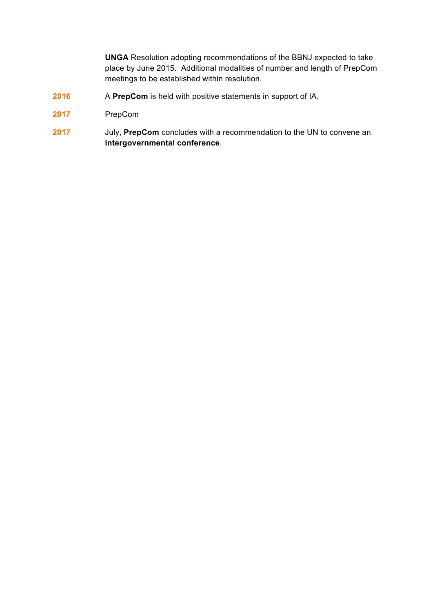**UNGA** Resolution adopting recommendations of the BBNJ expected to take place by June 2015. Additional modalities of number and length of PrepCom meetings to be established within resolution.

- **2016** A **PrepCom** is held with positive statements in support of IA.
- **2017** PrepCom
- **2017** July, **PrepCom** concludes with a recommendation to the UN to convene an **intergovernmental conference**.